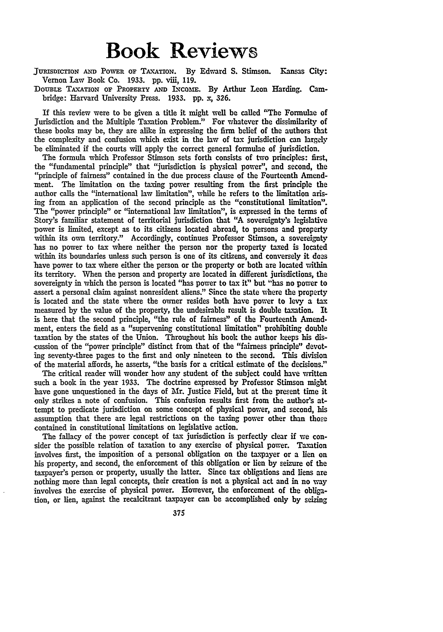## **Book Reviews**

**JURISDICTION AND POWER OF TAXATION. By** Edward S. Stimson. Kansas City: Vernon Law Book Co. **1933. pp.** viii, **119.**

**DOUBLE** TAXATION **OF PROPERTY AND** LNom. **By** Arthur Leon Harding. **Cam**bridge: Harvard University Press. **1933. pp.** x, **326.**

If this review were to be given a title it might well be called "The Formulae of Jurisdiction and the Multiple Taxation Problem." For whatever the dissimilarity of these books may be, they are alike in expressing the firm belief of the authors that the complexity and confusion which exist in the law of tax jurisdiction can largely -be eliminated if the courts will apply the correct general formulae of jurisdiction.

The formula which Professor Stimson sets forth consists of two principles: first, the "fundamental principle" that "jurisdiction is physical power", and second, the "principle of fairness" contained in the due process clause of the Fourteenth Amendment. The limitation on the taxing power resulting from the first principle the author calls the "international law limitation", while he refers to the limitation arising from an application of the second principle as the "constitutional limitation". The "power principle" or "international law limitation", is expressed in the terms of Story's familiar statement of territorial jurisdiction that "A sovereignty's legislative power is limited, except as to its citizens located abroad, to persons and property within its own territory." Accordingly, continues Professor Stinson, a sovereignty has no power to tax where neither the person nor the property taxed is located within its boundaries unless such person is one of its citizens, and conversely it does have power to tax where either the person or the property or both are located within its territory. When the person and property are located in different jurisdictions, the sovereignty in which the person is located "has power to tax it" but "has no power to assert a personal claim against nonresident aliens." Since the state where the property is located and the state where the owner resides both have power to levy a tax measured by the value of the property, the undesirable result is double tamtion. It is here that the second principle, "the rule of fairness" of the Fourteenth Amendment, enters the field as a "supervening constitutional limitation" prohibiting double taxation by the states of the Union. Throughout his book the author keeps his discussion of the "power principle" distinct from that of the "fairness principle" devoting seventy-three pages to the first and only nineteen to the second. This division Of the material affords, he asserts, "the basis for a critical estimate of the decisions.'

The critical reader will wonder how any student of the subject could have written such a book in the year 1933. The doctrine expressed **by** Professor Stimson might have gone unquestioned in the days of Mr. Justice Field, but at the present time it only strikes a note of confusion. This confusion results first from the author's attempt to predicate jurisdiction on some concept of physical power, and second, his assumption that there are legal restrictions on the taxing power other than those contained in constitutional limitations on legislative action.

The fallacy of the power concept of tax jurisdiction is perfectly clear if **ve** consider the possible relation of taxation to any exercise of physical power. Taxation involves first, the imposition of a personal obligation on the taxpayer or a lien on his property, and second, the enforcement of this obligation or lien **by** seizure of the taxpayer's person or property, usually the latter. Since tax obligations and liens are nothing more than legal concepts, their creation is not a physical act and in no way involves the exercise of physical power. However, the enforcement of the obligation, or lien, against the recalcitrant taxpayer can be accomplished only **by** seizing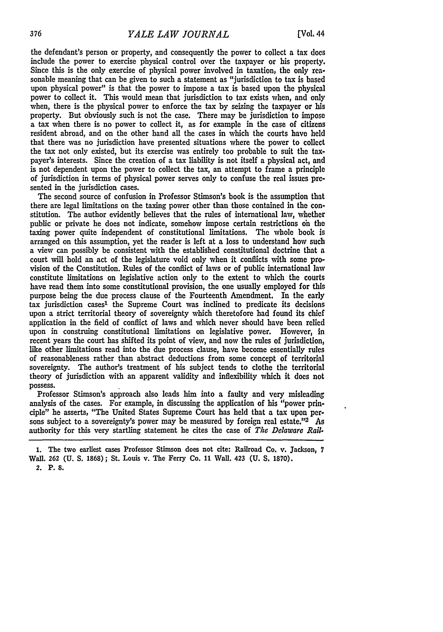the defendant's person or property, and consequently the power to collect a tax does include the power to exercise physical control over the taxpayer or his property. Since this is the only exercise of physical power involved in taxation, the only reasonable meaning that can be given to such a statement as "jurisdiction to tax is based upon physical power" is that the power to impose a tax is based upon the physical power to collect it. This would mean that jurisdiction to tax exists when, and only when, there is the physical power to enforce the tax by seizing the taxpayer or his property. But obviously such is not the case. There may be jurisdiction to impose a tax when there is no power to collect it, as for example in the case of citizens resident abroad, and on the other hand all the cases in which the courts have held that there was no jurisdiction have presented situations where the power to collect the tax not only existed, but its exercise was entirely too probable to suit the taxpayer's interests. Since the creation of a tax liability is not itself a physical act, and is not dependent upon the power to collect the tax, an attempt to frame a principle of jurisdiction in terms of physical power serves only to confuse the real issues **pre**sented in the jurisdiction cases.

The second source of confusion in Professor Stimson's book is the assumption that there are legal limitations on the taxing power other than those contained in the constitution. The author evidently believes that the rules of international law, whether public or private he does not indicate, somehow impose certain restrictions oh the taxing power quite independent of constitutional limitations. The whole book is arranged on this assumption, yet the reader is left at a loss to understand how such a view can possibly be consistent with the established constitutional doctrine that a court will hold an act of the legislature void only when it conflicts with some provision of the Constitution. Rules of the conflict of laws or of public international law constitute limitations on legislative action only to the extent to which the courts have read them into some constitutional provision, the one usually employed for this purpose being the due process clause of the Fourteenth Amendment. In the early tax jurisdiction cases1 the Supreme Court was inclined to predicate its decisions upon a strict territorial theory of sovereignty which theretofore had found its chief application in the field of conflict of laws and which never should have been relied upon in construing constitutional limitations on legislative power. However, in recent years the court has shifted its point of view, and now the rules of jurisdiction, like other limitations read into the due process clause, have become essentially rules of reasonableness rather than abstract deductions from some concept of territorial sovereignty. The author's treatment of his subject tends to clothe the territorial theory of jurisdiction with an apparent validity and inflexibility which it does not possess.

Professor Stimson's approach also leads him into a faulty and very misleading analysis of the cases. For example, in discussing the application of his "power principle" he asserts, "The United States Supreme Court has held that a tax upon persons subject to a sovereignty's power may be measured by foreign real estate."<sup>2</sup> As authority for this very startling statement he cites the case of *The Delaware Rail.*

**<sup>1.</sup>** The two earliest cases Professor Stimson does not cite: Railroad Co. v. Jackson, **7** Wall. **262 (U. S. 1868);** St. Louis v. The Ferry Co. **11** Wall. **423** (U. **S. 1870). 2. P. 8.**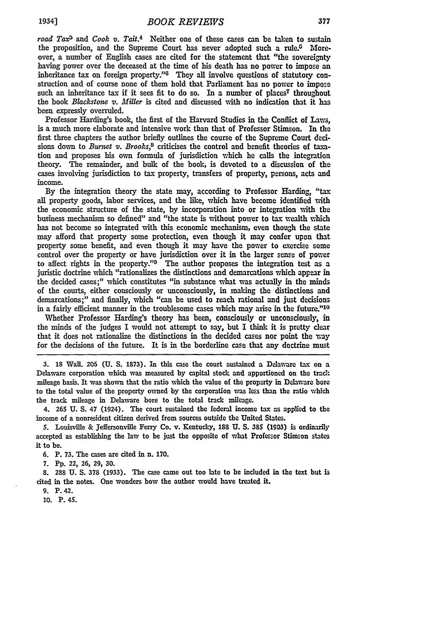*road Taz3?* and *Cook* v. *Tai. <sup>4</sup>*Neither one of these cases can be taken to sustain the proposition, and the Supreme Court has never adopted such a rule.<sup>5</sup> Moreover, a number of English cases are cited for the statement that "the sovereignty having power over the deceased at the time of his death has no power to impose an inheritance tax on foreign property."<sup>6</sup> They all involve questions of statutory construction and of course none of them hold that Parliament has no power to impose such an inheritance tax if it sees fit to do so. In a number of places<sup>7</sup> throughout the book *Blackstone v. Miller* is cited and discussed with no indication that it has been expressly overruled.

Professor Harding's book, the first of the Harvard Studies in the Conflict of Laws, is a much more elaborate and intensive work than that of Professor Stimson. In the first three chapters the author briefly outlines the course of the Supreme Court **deci**sions down to *Burnet v. Brooks*,<sup>§</sup> criticises the control and benefit theories of taxation and proposes his own formula of jurisdiction which he calls the integration theory. The remainder, and bulk of the book, is devoted to a discussion of the cases involving jurisdiction to tax property, transfers of property, persons, acts and income.

**By** the integration theory the state may, according to Professor Harding, "tax all property goods, labor services, and the like, which have become identified with the economic structure of the state, by incorporation into or integration with the business mechanism so defined" and "the state is without power to tax wealth which has not become so integrated with this economic mechanism, even though the state may afford that property some protection, even though it may confer upon that property some benefit, and even though it may have the power to exercise some control over the property or have jurisdiction over it in the larger sense of power to affect rights in the property."9 The author proposes the integration test as a juristic doctrine which "rationalizes the distinctions and demarcations which appear in the decided cases;" which constitutes "in substance what was actually in the minds of the courts, either consciously or unconsciously, in making the distinctions and demarcations;" and finally, which "can be used to reach rational and just decisions in a fairly efficient manner in the troublesome cases which may arise in the future." $10$ 

Whether Professor Harding's theory has been, consciously or unconsciously, in the minds of the judges I would not attempt to say, but I think it is pretty clear that it does not rationalize the distinctions in the decided cases nor point the way for the decisions of the future. It is in the borderline case that any doctrine must

**3. 18** Wall. **206 (U. S. 1873).** In this case the court sustained a Delaware tax on a Delaware corporation which was measured **by** capital stock and apportioned on the track mileage basis. It was shown that the ratio which the value of the property in Delaware bore to the total value of the property owned **by** the corporation was les than the ratio which the track mileage in Delaware bore to the total track mileage.

4. **265 U. S.** 47 (1924). The court sustained the federal income tax as applied to the income of a nonresident citizen derived from sources outside the United States.

*S.* Louisville **&** Jeffersonvile Ferry Co. v. Kentucky, **188 U. S. 385 (190)** is ordinarily accepted as establishing the law to be just the opposite of what Professor Stimson states it to be.

6. P. **73.** The cases are cited in n. **170.**

**7. Pp.** 22, **26,** 29, **30.**

**8.** 288 **U. S. 378 (1933).** The case came out too late to be included in the text but is cited in the notes. One wonders how the author would have treated it.

**9.** P. 42.

**10.** P. 45.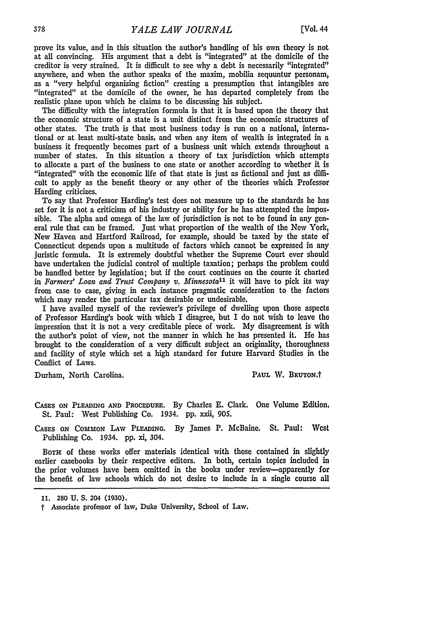prove its value, and in this situation the author's handling of his own theory is not at all convincing. His argument that a debt is "integrated" at the domicile of the creditor is very strained. It is difficult to see why a debt is necessarily "integrated" anywhere, and when the author speaks of the maxim, mobilia sequuntur personam, as a "very helpful organizing fiction" creating a presumption that intangibles are "integrated" at the domicile of the owner, he has departed completely from the realistic plane upon which he claims to be discussing his subject.

The difficulty with the integration formula is that it is based upon the theory that the economic structure of a state is a unit distinct from the economic structures of other states. The truth is that most business today is run on a national, international or at least multi-state basis, and when any item of wealth is integrated in a business it frequently becomes part of a business unit which extends throughout a number of states. In this situation a theory of tax jurisdiction which attempts to allocate a part of the business to one state or another according to whether it is "integrated" with the economic life of that state is just as fictional and just as difficult to apply as the benefit theory or any other of the theories which Professor Harding criticizes.

To say that Professor Harding's test does not measure up to the standards he has set for it is not a criticism of his industry or ability for he has attempted the impossible. The alpha and omega of the law of jurisdiction is not to be found in any general rule that can be framed. Just what proportion of the wealth of the New York, New Haven and Hartford Railroad, for example, should be taxed by the state of Connecticut depends upon a multitude of factors which cannot be expressed in any juristic formula. It is extremely doubtful whether the Supreme Court ever should have undertaken the judicial control of multiple taxation; perhaps the problem could be handled better by legislation; but if the court continues on the course it charted in Farmers' Loan and Trust Company v. Minnesota<sup>11</sup> it will have to pick its way from case to case, giving in each instance pragmatic consideration to the factors which may render the particular tax desirable or undesirable.

I have availed myself of the reviewer's privilege of dwelling upon those aspects of Professor Harding's book with which I disagree, but I do not wish to leave the impression that it is not a very creditable piece of work. My disagreement is with the author's point of view, not the manner in which he has presented it. He has brought to the consideration of a very difficult subject an originality, thoroughness and facility of style which set a high standard for future Harvard Studies in the Conflict of Laws.

Durham, North Carolina. **PAUL W. BRUTON.**<sup>4</sup>

**CASES ON PLEADING AND PROCEDURE.** By Charles **E.** Clark. One Volume Edition. St. Paul: West Publishing Co. 1934. **pp.** xxii, 905.

**CASES ON COMMON LAW PLEADING.** By James P. McBaine. St. Paul: West Publishing Co. 1934. pp. xi, 304.

BOTH of these works offer materials identical with those contained in slightly earlier casebooks by their respective editors. In both, certain topics included in the prior volumes have been omitted in the books under review-apparently for the benefit of law schools which do not desire to include in a single course all

**<sup>11. 280</sup> U. S. 204 (1930).**

**f** Associate professor **of law,** Duke University, School **of Law.**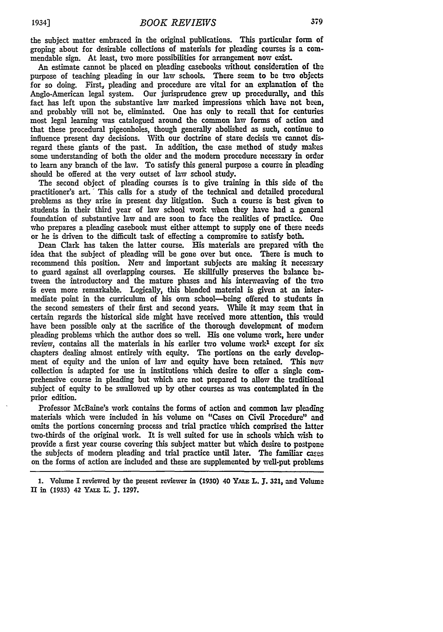the subject matter embraced in the original publications. This particular form of groping about for desirable collections of materials for pleading courses is a commendable sign. At least, two more possibilities for arrangement now exist.

An estimate cannot be placed on pleading casebooks without consideration of the purpose of teaching pleading in our law schools. There seem to be two objects for so doing. First, pleading and procedure are vital for an explanation of the Anglo-American legal system. Our jurisprudence grew up procedurally, and this fact has left upon the substantive law marked impressions which have not been, and probably will not be, eliminated. One has only to recall that for centuries most legal learning was catalogued around the common law forms of action and that these procedural pigeonholes, though generally abolished as such, continue to influence present day decisions. With our doctrine of stare decisis we cannot disregard these giants of the past. In addition, the case method of study makes some understanding of both the older and the modem procedure necessary in order to learn any branch of the law. To satisfy this general purpose a course in pleading should be offered at the very outset of law school study.

The second object of pleading courses is to give training in this side of the practitioner's art.' This calls for a study of the technical and detailed procedural problems as they arise in present day litigation. Such a course is best given to students in their third year of law school work when they have had a general foundation of substantive law and are soon to face the realities of practice. One who prepares a pleading casebook must either attempt to supply one of these needs or he is driven to the difficult task of effecting a compromise to satisfy both.

Dean Clark has taken the latter course. His materials are prepared with the idea that the subject of pleading will be gone over but once. There is much to recommend this position. New and important subjects are making it necessary to guard against all overlapping courses. He skillfully preserves the balance between the introductory and the mature phases and his interweaving of the two is even more remarkable. Logically, this blended material is given at an intermediate point in the curriculum of his own school-being offered to students in the second semesters of their first and second years. While it may seem that in certain regards the historical side might have received more attention, this would have been possible only at the sacrifice of the thorough development of modem pleading problems which the author does so well. His one volume work, here under review, contains all the materials in his earlier two volume work<sup>1</sup> except for six chapters dealing almost entirely with equity. The portions on the early development of equity and the union of law and equity have been retained. This new collection is adapted for use in institutions which desire to offer a single comprehensive course in pleading but which are not prepared to allow the traditional subject of equity to be swallowed up by other courses as was contemplated in the prior edition.

Professor McBaine's work contains the forms of action and common law pleading materials which were included in his volume on "Cases on Civil Procedure" and omits the portions concerning process and trial practice which comprised the latter two-thirds of the original work. It is well suited for use in schools which wish to provide a first year course covering this subject matter but which desire to postpone the subjects of modem pleading and trial practice until later. The familiar cases on the forms of action are included and these are supplemented **by** well-put problems

1. Volume I reviewed **by** the present reviewer in **(1930)** 40 YAIx L. **J. 321, and** Volume II in (1933) 42 *YAXm* L. **J. 1297.**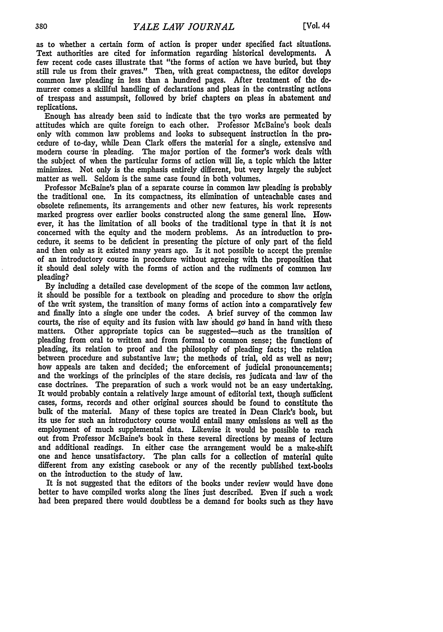as to whether a certain form of action is proper under specified fact situations. Text authorities are cited for information regarding historical developments. A few recent code cases illustrate that "the forms of action we have buried, but they still rule us from their graves." Then, with great compactness, the editor develops common law pleading in less than a hundred pages. After treatment of the demurrer comes a skillful handling of declarations and pleas in the contrasting actions of trespass and assumpsit, followed **by** brief chapters on pleas in abatement and replications.

Enough has already been said to indicate that the two works are permeated **by** attitudes which are quite foreign to each other. Professor McBaine's book deals only with common law problems and looks to subsequent instruction in the procedure of to-day, while Dean Clark offers the material for a single,, extensive and modern course in pleading. The major portion of the former's work deals with the subject of when the particular forms of action will lie, a topic which the latter minimizes. Not only is the emphasis entirely different, but very largely the subject matter as well. Seldom is the same case found in both volumes.

Professor McBaine's plan of a separate course in common law pleading is probably the traditional one. In its compactness, its elimination of unteachable cases and obsolete refinements, its arrangements and other new features, his work represents marked progress over earlier books constructed along the same general line. How, ever, it has the limitation of all books of the traditional type in that it is not concerned with the equity and the modem problems. As an introduction to procedure, it seems to be deficient in presenting the picture of only part of the field and then only as it existed many years ago. Is it not possible to accept the premise of an introductory course in procedure without agreeing with the proposition that it should deal solely with the forms of action and the rudiments of common law pleading?

By including a detailed case development of the scope of the common law actions, it should be possible for a textbook on pleading and procedure to show the origin of the writ system, the transition of many forms of action into a comparatively few and finally into a single one under the codes. A brief survey of the common law courts, the rise of equity and its fusion with law should **gd** hand in hand with these matters. Other appropriate topics can be suggested-such as the transition of pleading from oral to written and from formal to common sense; the functions of pleading, its relation to proof and the philosophy of pleading facts; the relation between procedure and substantive law; the methods of trial, old as well as now; how appeals are taken and decided; the enforcement of judicial pronouncements; and the workings of the principles of the stare decisis, res judicata and law of the case doctrines. The preparation of such a work would not be an easy undertaking. It would probably contain a relatively large amount of editorial text, though sufficient cases, forms, records and other original sources should be found to constitute the bulk of the material. Many of these topics are treated in Dean Clark's book, but its use for such an introductory course would entail many omissions as well as the employment of much supplemental data. Likewise it would be possible to reach out from Professor McBaine's book in these several directions **by** means of lecture and additional readings. In either case the arrangement would be a make-shift one and hence unsatisfactory. The plan calls for a collection of material quito different from any existing casebook or any of the recently published text-books on the introduction to the study of law.

It is not suggested that the editors of the books under review would have done better to have compiled works along the lines just described. Even if such a work had been prepared there would doubtless be a demand for books such as they have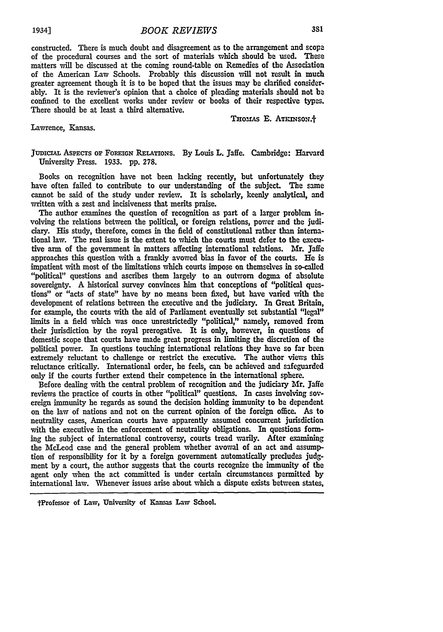constructed. There is much doubt and disagreement as to the arrangement and scope of the procedural courses and the sort of materials which should be used. These matters will be discussed at the coming round-table on Remedies of the Association of the American Law Schools. Probably this discussion will not result in much greater agreement though it is to be hoped that the issues may be clarified considerably. It is the reviewer's opinion that a choice of pleading materials should not **be** confined to the excellent works under review or books of their respective types. There should be at least a third alternative.

Lawrence, Kansas.

THOMAS E. ATEINSON.<sup>1</sup>

**JUnCIcAL** ASPECTS OF FOREIGN RELATIONS. By Louis L. Jaffe. Cambridge: Harvard University Press. 1933. pp. 278.

Books on recognition have not been lacking recently, but unfortunately they have often failed to contribute to our understanding of the subject. The same cannot be said of the study under review. It is scholarly, keenly analytical, and written with a zest and incisiveness that merits praise.

The author examines the question of recognition as part of a larger problem involving the relations between the political, or foreign relations, power and the judiciary. His study, therefore, comes in the field of constitutional rather than international law. The real issue is the extent to which the courts must defer to the executive arm of the government in matters affecting international relations. *Mr.* Jaffe approaches this question with a frankly avowed bias in favor of the courts. He is impatient with most of the limitations which courts impose on themselves in so-called "political" questions and ascribes them largely to an outworn dogma of absolute sovereignty. A historical survey convinces him that conceptions of "political questions" or "acts of state" have **by** no means been fixed, but have varied with the development of relations between the executive and the judiciary. In Great Britain, for example, the courts with the aid of Parliament eventually set substantial **'qegal"** limits in a field which was once unrestrictedly "political," namely, removed from their jurisdiction by the royal prerogative. It is only, however, in questions of domestic scope that courts have made great progress in limiting the discretion of the political power. In questions touching international relations they have so far been extremely reluctant to challenge or restrict the executive. The author views this reluctance critically. International order, he feels, can be achieved and sfeguarded only if the courts further extend their competence in the international sphere.

Before dealing with the central problem of recognition and the judiciary Mr. Jafe reviews the practice of courts in other "political" questions. In cases involving sovereign immunity he regards as sound the decision holding immunity to be dependent on the law of nations and not on the current opinion of the foreign office. As to neutrality cases, American courts have apparently assumed concurrent jurisdiction with the executive in the enforcement of neutrality obligations. In questions forming the subject of international controversy, courts tread warily. After examining the McLeod case and the general problem whether avowal of an act and assumption of responsibility for it **by** a foreign government automatically precludes judgment by a court, the author suggests that the courts recognize the immunity of the agent only when the act committed is under certain circumstances permitted **by** international law. Whenever issues arise about which a dispute exists between states,

tProfessor of Law, University of Kansas Law School.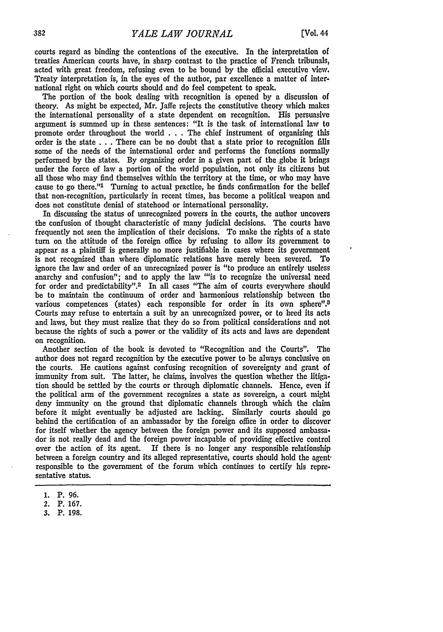courts regard as binding the contentions of the executive. In the interpretation of treaties American courts have, in sharp contrast to the practice of French tribunals, acted with great freedom, refusing even to be bound **by** the official executive view. Treaty interpretation is, in the eyes of the author, par excellence a matter of international right on which courts should and do feel competent to speak.

The portion of the book dealing with recognition is opened **by** a discussion of theory. As might be expected, Mr. Jaffe rejects the constitutive theory which makes the international personality of a state dependent on recognition. His persuasive argument is summed up in these sentences: "It is the task of international law to promote order throughout the world . . .The chief instrument of organizing this order is the state **. .** .There can be no doubt that a state prior to recognition fills some of the needs of the international order and performs the functions normally performed by the states. By organizing order in a given part of the globe it brings under the force of law a portion of the world population, not only its citizens but all those who may find themselves within the territory at the time, or who may have cause to go there."1 Turning to actual practice, **he** finds confirmation for the belief that non-recognition, particularly in recent times, has become a political weapon and does not constitute denial of statehood or international personality.

In discussing the status of unrecognized powers in the courts, the author uncovers the confusion of thought characteristic of many judicial decisions. The courts have frequently not seen the implication of their decisions. To make the rights of a state turn on the attitude of the foreign office by refusing to allow its government to appear as a plaintiff is generally no more justifiable in cases where its government is not recognized than where diplomatic relations have merely been severed. To ignore the law and order of an unrecognized power is "to produce an entirely useless anarchy and confusion"; and to apply the law "is to recognize the universal need for order and predictability".<sup>2</sup> In all cases "The aim of courts everywhere should be to maintain the continuum of order and harmonious relationship between the various competences (states) each responsible for order in its own sphere",<sup>3</sup> Courts may refuse to entertain a suit by an unrecognized power, or to **heed** its acts and laws, but they must realize that they do so from political considerations and not because the rights of such a power or the validity of its acts and laws are dependent on recognition.

Another section of the book is devoted to "Recognition and the Courts". The author does not regard recognition by the executive power to be always conclusive on the courts. He cautions against confusing recognition of sovereignty and grant of immunity from suit. The latter, he claims, involves the question whether the litigation should be settled by the courts or through diplomatic channels. Hence, even if the political arm of the government recognizes a state as sovereign, a court might deny immunity on the ground that diplomatic channels through which the claim before it might eventually be adjusted are lacking. Similarly courts should go behind the certification of an ambassador **by** the foreign office in order to discover for itself whether the agency between the foreign power and its supposed ambassador is not really dead and the foreign power incapable of providing effective control over the action of its agent. If there is no longer any responsible relationship between a foreign country and its alleged representative, courts should hold the agent. responsible to the government of the forum which continues to certify his representative status.

<sup>1.</sup> P. **96.**

<sup>2.</sup> P. 167.

**<sup>3.</sup>** P. 198.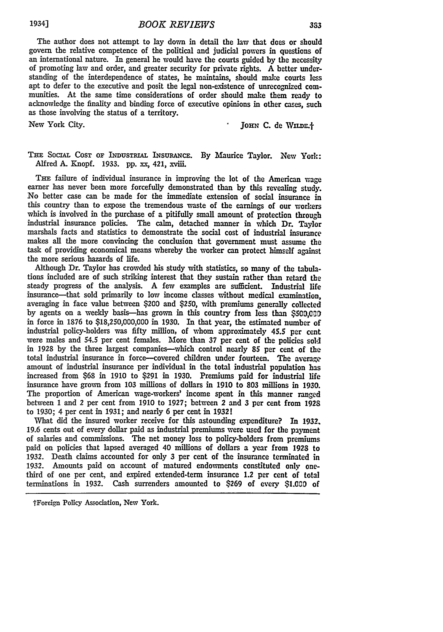The author does not attempt to lay down in detail the law that does or should govern the relative competence of the political and judicial powers in questions of an international nature. In general he would have the courts guided **by** the necessity of promoting law and order, and greater security for private rights. **A** better understanding of the interdependence of states, he maintains, should make courts less apt to defer to the executive and posit the legal non-existence of unrecognized communities. At the same time considerations of order should make them ready to acknowledge the finality and binding force of executive opinions in other cases, such as those involving the status of a territory.

New York City. **JOHN C. de WILDE.** 

Tms SocAL CosT OF **INDUSTRiAL INsuRANcE.** By Maurice Taylor. New York: Alfred **A.** Knopf. 1933. **pp.** xx, 421, xvii.

THE failure of individual insurance in improving the lot of the American wage earner has never been more forcefully demonstrated than **by** this revealing study. No better case can be made for the immediate extension of social insurance in this country than to expose the tremendous waste of the earnings of our workers which is involved in the purchase of a pitifully small amount of protection through industrial insurance policies. The calm, detached manner in which Dr. Taylor marshals facts and statistics to demonstrate the social cost of industrial insurance makes all the more convincing the conclusion that government must assume the task of providing economical means whereby the worker can protect himself against the more serious hazards of life.

Although Dr. Taylor has crowded his study with statistics, so many of the tabulations included are of such striking interest that they sustain rather than retard the steady progress of the analysis. A few examples are sufficient. Industrial life insurance--that sold primarily to low income classes without medical examination, averaging in face value between \$200 and \$250, with premiums generally collected by agents on a weekly basis-has grown in this country from less than **\$500,00D** in force in 1876 to \$18,250,000,000 in 1930. In that year, the estimated number of industrial policy-holders was fifty million, of whom approximately *45.5* per cent were males and 54.5 per cent females. More than 37 per cent of the policies sold in 1928 **by** the three largest companies-which control nearly 85 per cent of the total industrial insurance in force-covered children under fourteen. The average amount of industrial insurance per individual in the total industrial population has increased from \$68 in 1910 to \$291 in 1930. Premiums paid for industrial life insurance have grown from 103 millions of dollars in 1910 to 803 millions in 1930. The proportion of American wage-workers' income spent in this manner ranged between **I** and 2 per cent from 1910 to **1927;** between 2 and 3 per cent from **1928** to 1930; 4 per cent in 1931; and nearly 6 per cent in **1932!**

What did the insured worker receive for this astounding expenditure? In 1932. 19.6 cents out of every dollar paid as industrial premiums were used for the payment of salaries and commissions. The net money loss to policy-holders from premiums paid on policies that lapsed averaged 40 millions of dollars a year from **1923** to 1932. Death claims accounted for only 3 per cent of the insurance terminated in 1932. Amounts paid on account of matured endowments constituted only onethird of one per cent, and expired extended-term insurance 1.2 per cent of total terminations in 1932. Cash surrenders amounted to \$269 of every **\$1.0D** of

tForeign Policy Association, New York.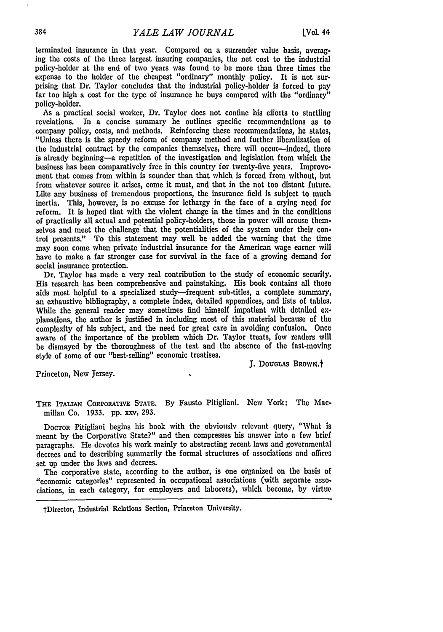terminated insurance in that year. Compared on a surrender value basis, averaging the costs of the three largest insuring companies, the net cost to the industrial policy-holder at the end of two years was found to be more than three times the expense to the holder of the cheapest "ordinary" monthly policy. It is not surprising that Dr. Taylor concludes that the industrial policy-holder is forced to pay far too high a cost for the type of insurance he buys compared with the "ordinary" policy-holder.

As a practical social worker, Dr. Taylor does not confine his efforts to startling revelations. In a concise summary he outlines specific recommendations as to company policy, costs, and methods. Reinforcing these recommendations, he states, "Unless there is the speedy reform of company method and further liberalization of the industrial contract **by** the companies themselves, there will occur-indeed, there is already beginning-a repetition of the investigation and legislation from which the business has been comparatively free in this country for twenty-five years. Improvement that comes from within is sounder than that which is forced from without, but from whatever source it arises, come it must, and that in the not too distant future, Like any business of tremendous proportions, the insurance field is subject to much inertia. This, however, is no excuse for lethargy in the face of a crying need for reform. It is hoped that with the violent change in the times and in the conditions of practically all actual and potential policy-holders, those in power will arouse themselves and meet the challenge that the potentialities of the system under their control presents." To this statement may well be added the warning that the time may soon come when private industrial insurance for the American wage earner will have to make a far stronger case for survival in the face of a growing demand for social insurance protection.

Dr. Taylor has made a very real contribution to the study of economic security. His research has been comprehensive and painstaking. His book contains all those aids most helpful to a specialized study-frequent sub-titles, a complete summary, an exhaustive bibliography, a complete index, detailed appendices, and lists of tables. While the general reader may sometimes find himself impatient with detailed explanations, the author is justified in including most of this material because of the complexity of his subject, and the need for great care in avoiding confusion. Once aware of the importance of the problem which Dr. Taylor treats, few readers will be dismayed by the thoroughness of the text and the absence of the fast-moving style of some of our "best-selling" economic treatises.<br>**J. DOUGLAS BROWN.<sup>†</sup>** 

Princeton, New Jersey.

THE ITALIAN **CORPORATIVE STATE.** By Fausto Pitigliani. New York: The Macmillan Co. 1933. pp. xxv, 293.

DOCTOR Pitigliani begins his book with the obviously relevant query, "What is meant by the Corporative State?" and then compresses his answer into a few brief paragraphs. He devotes his work mainly to abstracting recent laws and governmental decrees and to describing summarily the formal structures of associations and offices set up under the laws and decrees.

The corporative state, according to the author, is one organized on the basis of "economic categories" represented in occupational associations (with separate associations, in each category, for employers and laborers), which become, **by** virtue

tDirector, Industrial Relations Section, Princeton University.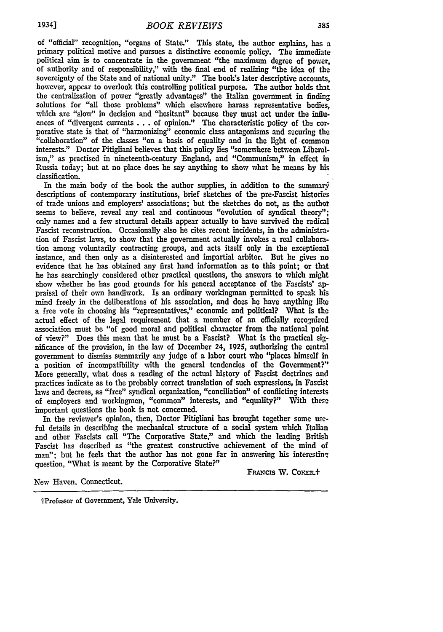of "official" recognition, "organs of State." This state, the author explains, has a primary political motive and pursues a distinctive economic policy. The immediate political aim is to concentrate in the government "the maximum degree of power, of authority and of responsibility," with the final end of realizing "the idea of the sovereignty of the State and of national unity." The book's later descriptive accounts, however, appear to overlook this controlling political purpose. The author holds that the centralization of power "greatly advantages" the Italian government in finding solutions for "all those problems" which elsewhere harass representative bodies. which are "slow" in decision and "hesitant" because they must act under the influences of "divergent currents. **..** of opinion." The characteristic policy of the corporative state is that of "harmonizing" economic class antagonisms and securing the "collaboration" of the classes "on a basis of equality and in the light of common interests." Doctor Pitigliani believes that this policy lies "somewhere between Liberalism," as practised in nineteenth-century England, and "Communism," in effect in Russia today; but at no place does he say anything to show what he means **by** his classification.

In the main body of the book the author supplies, in addition to the summary descriptions of contemporary institutions, brief sketches of the pre-Fascist histories of trade unions and employers' associations; but the sketches do not, as the author seems to believe, reveal any real and continuous "evolution of syndical theory"; only names and a few structural details appear actually to have survived the radical Fascist reconstruction. Occasionally also he cites recent incidents, in the administration of Fascist laws, to show that the government actually invokes a real collaboration among voluntarily contracting groups, and acts itself only in the exceptional instance, and then only as a disinterested and impartial arbiter. But be gives no evidence that he has obtained any first hand information as to this point; or that he has searchingly considered other practical questions, the answers to which might show whether he has good grounds for his general acceptance of the Fascists' appraisal of their own handiwork. Is an ordinary workingman permitted to speak his mind freely in the deliberations of his association, and does he have anything like a free vote in choosing his "representatives," economic and political? What is the actual effect of the legal requirement that a member of an officially recognized association must be "of good moral and political character from the national point of view?" Does this mean that he must be a Fascist? What is the practical **sig**nificance of the provision, in the law of December 24, **1925,** authorizing the central government to dismiss summarily any judge of a labor court who "places himself in a position of incompatibility with the general tendencies of the Government?" More generally, what does a reading of the actual history of Fascist doctrines and practices indicate as to the probably correct translation of such expressions, in Fascist laws and decrees, as "free" syndical organization, "conciliation" of conflicting interests of employers and workingmen, "common" interests, and "equality?" With these important questions the book is not concerned.

In the reviewer's opinion, then, Doctor Pitigliani has brought together some useful details in describing the mechanical structure of a social system which Italian and other Fascists call "The Corporative State," and which the leading British Fascist has described as "the greatest constructive achievement of the mind of man"; but he feels that the author has not gone far in answering his interesting question, "What is meant **by** the Corporative State?"

FRANCIS W. CORER.<sup>+</sup>

New Haven, Connecticut.

tProfessor of Government, Yale University.